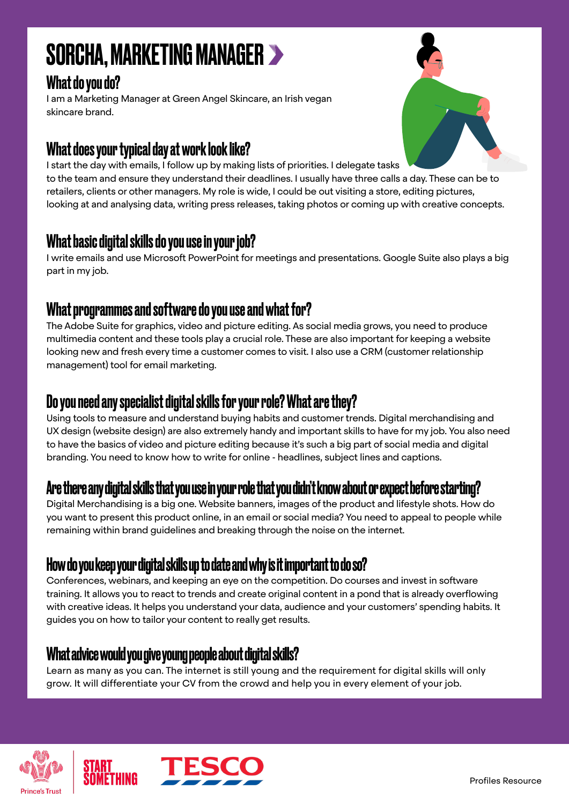# SORCHA, MARKETING MANAGER

# What do you do?

I am a Marketing Manager at Green Angel Skincare, an Irish vegan skincare brand.

# What does your typical day at work look like?



I start the day with emails, I follow up by making lists of priorities. I delegate tasks to the team and ensure they understand their deadlines. I usually have three calls a day. These can be to retailers, clients or other managers. My role is wide, I could be out visiting a store, editing pictures, looking at and analysing data, writing press releases, taking photos or coming up with creative concepts.

## What basic digital skills do you use in your job?

I write emails and use Microsoft PowerPoint for meetings and presentations. Google Suite also plays a big part in my job.

### What programmes and software do you use and what for?

The Adobe Suite for graphics, video and picture editing. As social media grows, you need to produce multimedia content and these tools play a crucial role. These are also important for keeping a website looking new and fresh every time a customer comes to visit. I also use a CRM (customer relationship management) tool for email marketing.

# Do you need any specialist digital skills for your role? What are they?

Using tools to measure and understand buying habits and customer trends. Digital merchandising and UX design (website design) are also extremely handy and important skills to have for my job. You also need to have the basics of video and picture editing because it's such a big part of social media and digital branding. You need to know how to write for online - headlines, subject lines and captions.

# Are there any digital skills that you use in your role that you didn't know about or expect before starting?

Digital Merchandising is a big one. Website banners, images of the product and lifestyle shots. How do you want to present this product online, in an email or social media? You need to appeal to people while remaining within brand guidelines and breaking through the noise on the internet.

## How do you keep your digital skills up to date and why is it important to do so?

Conferences, webinars, and keeping an eye on the competition. Do courses and invest in software training. It allows you to react to trends and create original content in a pond that is already overflowing with creative ideas. It helps you understand your data, audience and your customers' spending habits. It guides you on how to tailor your content to really get results.

## What advice would you give young people about digital skills?

Learn as many as you can. The internet is still young and the requirement for digital skills will only grow. It will differentiate your CV from the crowd and help you in every element of your job.



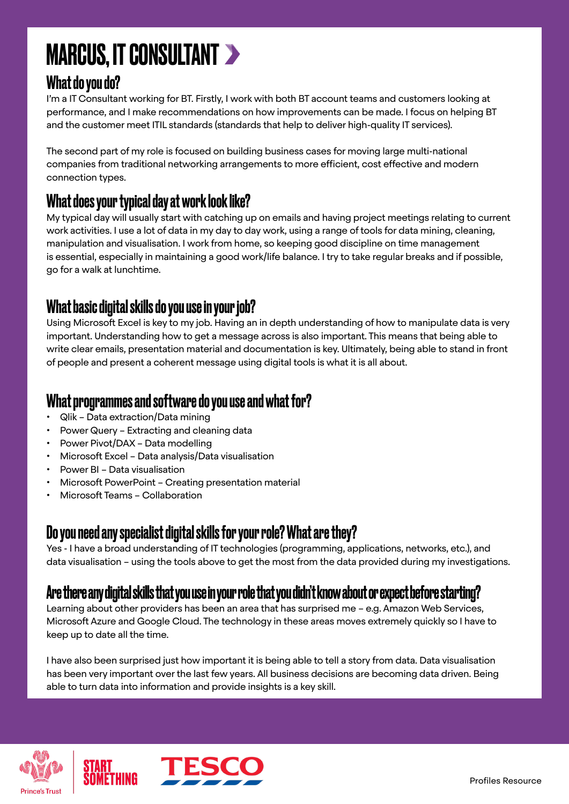# MARCUS, IT CONSULTANT

# What do you do?

I'm a IT Consultant working for BT. Firstly, I work with both BT account teams and customers looking at performance, and I make recommendations on how improvements can be made. I focus on helping BT and the customer meet ITIL standards (standards that help to deliver high-quality IT services).

The second part of my role is focused on building business cases for moving large multi-national companies from traditional networking arrangements to more efficient, cost effective and modern connection types.

## What does your typical day at work look like?

My typical day will usually start with catching up on emails and having project meetings relating to current work activities. I use a lot of data in my day to day work, using a range of tools for data mining, cleaning, manipulation and visualisation. I work from home, so keeping good discipline on time management is essential, especially in maintaining a good work/life balance. I try to take regular breaks and if possible, go for a walk at lunchtime.

# What basic digital skills do you use in your job?

Using Microsoft Excel is key to my job. Having an in depth understanding of how to manipulate data is very important. Understanding how to get a message across is also important. This means that being able to write clear emails, presentation material and documentation is key. Ultimately, being able to stand in front of people and present a coherent message using digital tools is what it is all about.

#### What programmes and software do you use and what for?

- Qlik Data extraction/Data mining
- Power Query Extracting and cleaning data
- Power Pivot/DAX Data modelling
- Microsoft Excel Data analysis/Data visualisation
- Power BI Data visualisation
- Microsoft PowerPoint Creating presentation material
- Microsoft Teams Collaboration

## Do you need any specialist digital skills for your role? What are they?

Yes - I have a broad understanding of IT technologies (programming, applications, networks, etc.), and data visualisation – using the tools above to get the most from the data provided during my investigations.

## Are there any digital skills that you use in your role that you didn't know about or expect before starting?

Learning about other providers has been an area that has surprised me – e.g. Amazon Web Services, Microsoft Azure and Google Cloud. The technology in these areas moves extremely quickly so I have to keep up to date all the time.

I have also been surprised just how important it is being able to tell a story from data. Data visualisation has been very important over the last few years. All business decisions are becoming data driven. Being able to turn data into information and provide insights is a key skill.



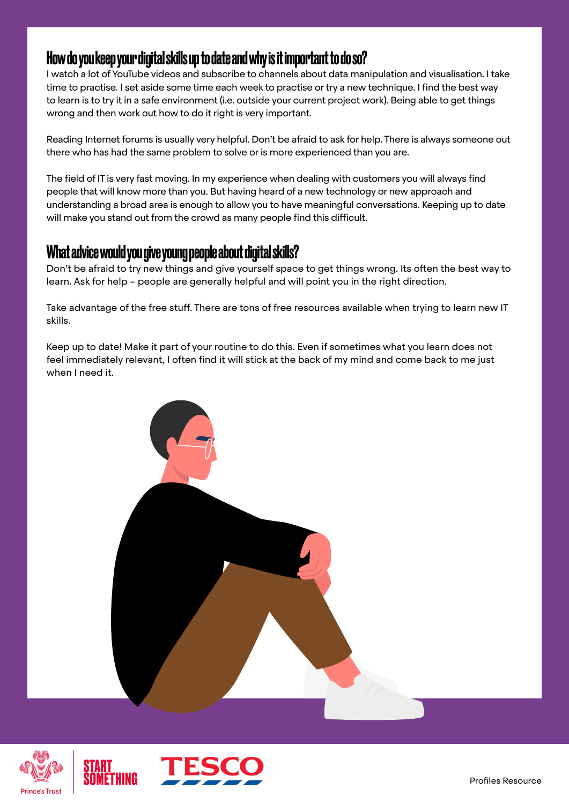#### How do you keep your digital skills up to date and why is it important to do so?

I watch a lot of YouTube videos and subscribe to channels about data manipulation and visualisation. I take time to practise. I set aside some time each week to practise or try a new technique. I find the best way to learn is to try it in a safe environment (i.e. outside your current project work). Being able to get things wrong and then work out how to do it right is very important.

Reading Internet forums is usually very helpful. Don't be afraid to ask for help. There is always someone out there who has had the same problem to solve or is more experienced than you are.

The field of IT is very fast moving. In my experience when dealing with customers you will always find people that will know more than you. But having heard of a new technology or new approach and understanding a broad area is enough to allow you to have meaningful conversations. Keeping up to date will make you stand out from the crowd as many people find this difficult.

#### What advice would you give young people about digital skills?

Don't be afraid to try new things and give yourself space to get things wrong. Its often the best way to learn. Ask for help – people are generally helpful and will point you in the right direction.

Take advantage of the free stuff. There are tons of free resources available when trying to learn new IT skills.

Keep up to date! Make it part of your routine to do this. Even if sometimes what you learn does not feel immediately relevant, I often find it will stick at the back of my mind and come back to me just when I need it.





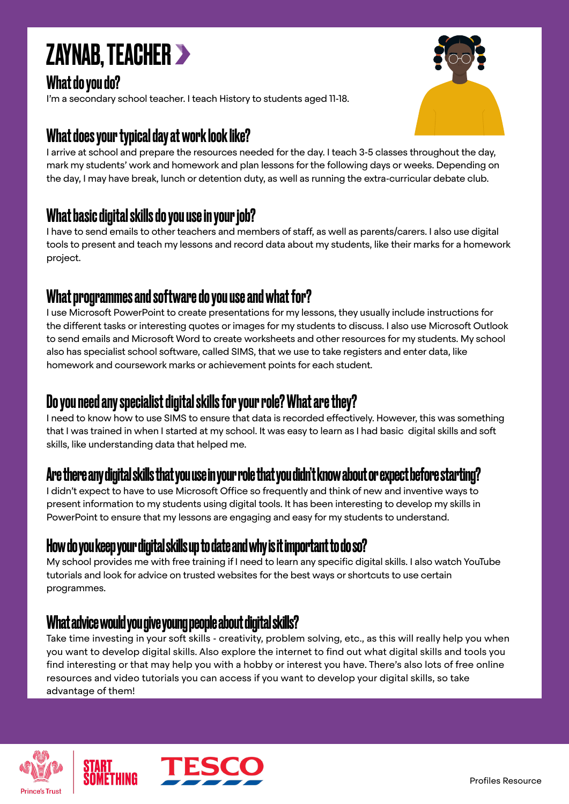

## What do you do?

I'm a secondary school teacher. I teach History to students aged 11-18.

## What does your typical day at work look like?

I arrive at school and prepare the resources needed for the day. I teach 3-5 classes throughout the day, mark my students' work and homework and plan lessons for the following days or weeks. Depending on the day, I may have break, lunch or detention duty, as well as running the extra-curricular debate club.

#### What basic digital skills do you use in your job?

I have to send emails to other teachers and members of staff, as well as parents/carers. I also use digital tools to present and teach my lessons and record data about my students, like their marks for a homework project.

### What programmes and software do you use and what for?

I use Microsoft PowerPoint to create presentations for my lessons, they usually include instructions for the different tasks or interesting quotes or images for my students to discuss. I also use Microsoft Outlook to send emails and Microsoft Word to create worksheets and other resources for my students. My school also has specialist school software, called SIMS, that we use to take registers and enter data, like homework and coursework marks or achievement points for each student.

#### Do you need any specialist digital skills for your role? What are they?

I need to know how to use SIMS to ensure that data is recorded effectively. However, this was something that I was trained in when I started at my school. It was easy to learn as I had basic digital skills and soft skills, like understanding data that helped me.

## Are there any digital skills that you use in your role that you didn't know about or expect before starting?

I didn't expect to have to use Microsoft Office so frequently and think of new and inventive ways to present information to my students using digital tools. It has been interesting to develop my skills in PowerPoint to ensure that my lessons are engaging and easy for my students to understand.

#### How do you keep your digital skills up to date and why is it important to do so?

My school provides me with free training if I need to learn any specific digital skills. I also watch YouTube tutorials and look for advice on trusted websites for the best ways or shortcuts to use certain programmes.

#### What advice would you give young people about digital skills?

Take time investing in your soft skills - creativity, problem solving, etc., as this will really help you when you want to develop digital skills. Also explore the internet to find out what digital skills and tools you find interesting or that may help you with a hobby or interest you have. There's also lots of free online resources and video tutorials you can access if you want to develop your digital skills, so take advantage of them!





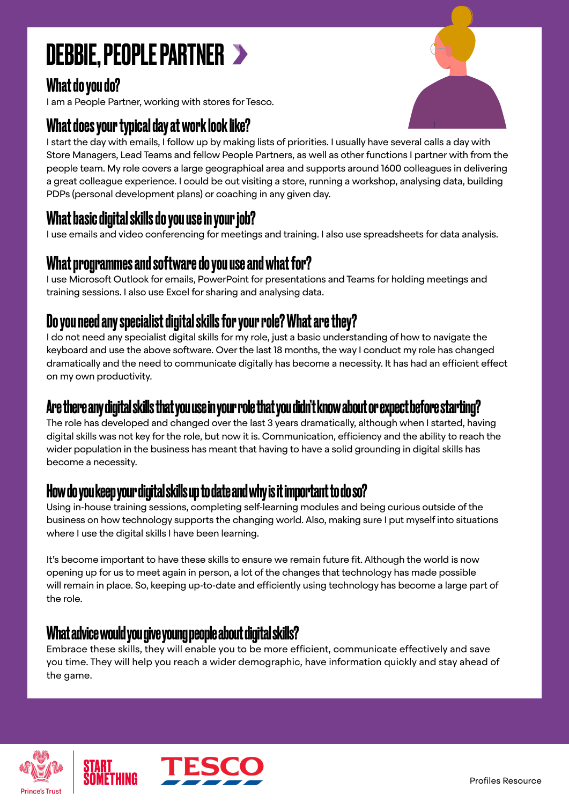# DEBBIE, PEOPLE PARTNER

# What do you do?

I am a People Partner, working with stores for Tesco.

# What does your typical day at work look like?

I start the day with emails, I follow up by making lists of priorities. I usually have several calls a day with Store Managers, Lead Teams and fellow People Partners, as well as other functions I partner with from the people team. My role covers a large geographical area and supports around 1600 colleagues in delivering a great colleague experience. I could be out visiting a store, running a workshop, analysing data, building PDPs (personal development plans) or coaching in any given day.

# What basic digital skills do you use in your job?

I use emails and video conferencing for meetings and training. I also use spreadsheets for data analysis.

# What programmes and software do you use and what for?

I use Microsoft Outlook for emails, PowerPoint for presentations and Teams for holding meetings and training sessions. I also use Excel for sharing and analysing data.

# Do you need any specialist digital skills for your role? What are they?

I do not need any specialist digital skills for my role, just a basic understanding of how to navigate the keyboard and use the above software. Over the last 18 months, the way I conduct my role has changed dramatically and the need to communicate digitally has become a necessity. It has had an efficient effect on my own productivity.

## Are there any digital skills that you use in your role that you didn't know about or expect before starting?

The role has developed and changed over the last 3 years dramatically, although when I started, having digital skills was not key for the role, but now it is. Communication, efficiency and the ability to reach the wider population in the business has meant that having to have a solid grounding in digital skills has become a necessity.

## How do you keep your digital skills up to date and why is it important to do so?

Using in-house training sessions, completing self-learning modules and being curious outside of the business on how technology supports the changing world. Also, making sure I put myself into situations where I use the digital skills I have been learning.

It's become important to have these skills to ensure we remain future fit. Although the world is now opening up for us to meet again in person, a lot of the changes that technology has made possible will remain in place. So, keeping up-to-date and efficiently using technology has become a large part of the role.

## What advice would you give young people about digital skills?

Embrace these skills, they will enable you to be more efficient, communicate effectively and save you time. They will help you reach a wider demographic, have information quickly and stay ahead of the game.